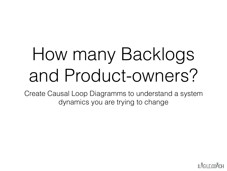# How many Backlogs and Product-owners?

Create Causal Loop Diagramms to understand a system dynamics you are trying to change

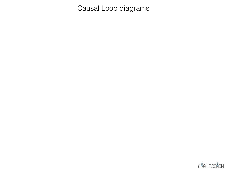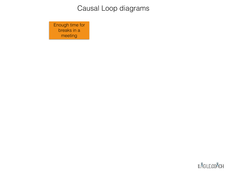Enough time for breaks in a meeting

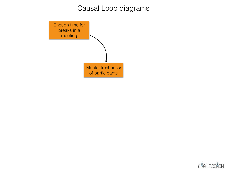

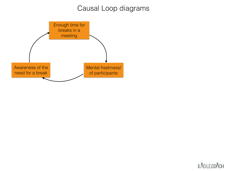

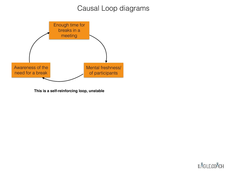

**This is a self-reinforcing loop, unstable**

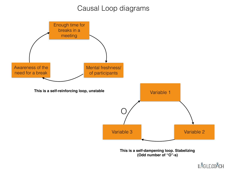

#### **¥.** AGILE.COACH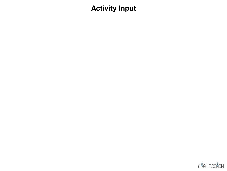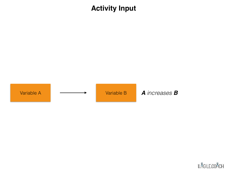

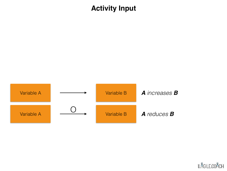

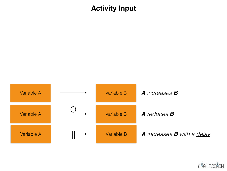

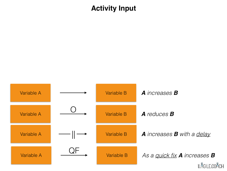